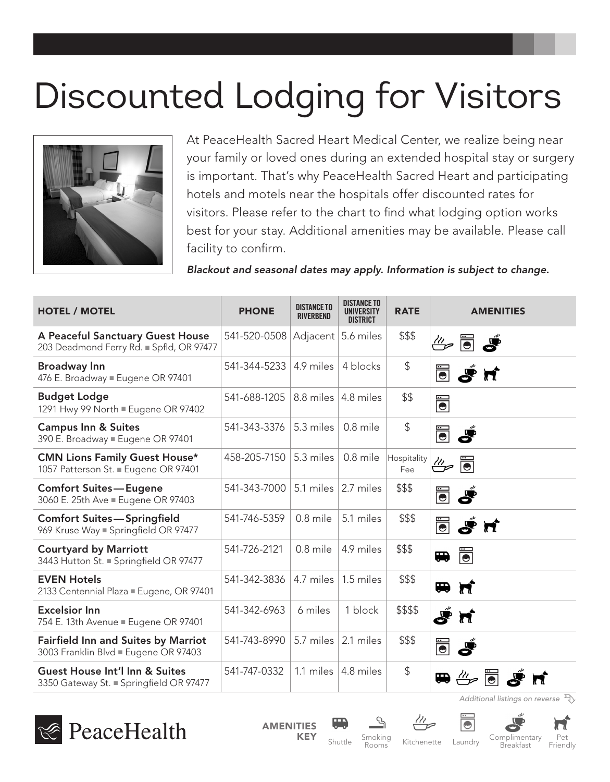## Discounted Lodging for Visitors



At PeaceHealth Sacred Heart Medical Center, we realize being near your family or loved ones during an extended hospital stay or surgery is important. That's why PeaceHealth Sacred Heart and participating hotels and motels near the hospitals offer discounted rates for visitors. Please refer to the chart to find what lodging option works best for your stay. Additional amenities may be available. Please call facility to confirm.

*Blackout and seasonal dates may apply. Information is subject to change.*

| <b>HOTEL / MOTEL</b>                                                               | <b>PHONE</b> | <b>DISTANCE TO</b><br><b>RIVERBEND</b> | <b>DISTANCE TO</b><br>UNIVERSITY<br><b>DISTRICT</b> | <b>RATE</b>        | <b>AMENITIES</b>                                                                    |
|------------------------------------------------------------------------------------|--------------|----------------------------------------|-----------------------------------------------------|--------------------|-------------------------------------------------------------------------------------|
| A Peaceful Sanctuary Guest House<br>203 Deadmond Ferry Rd. ■ Spfld, OR 97477       | 541-520-0508 | Adjacent 5.6 miles                     |                                                     | \$\$\$             | $\mathring{\mathscr{E}}$ denotes                                                    |
| <b>Broadway Inn</b><br>476 E. Broadway ■ Eugene OR 97401                           | 541-344-5233 | 4.9 miles                              | 4 blocks                                            | \$                 | <b>B</b> Sn                                                                         |
| <b>Budget Lodge</b><br>1291 Hwy 99 North Eugene OR 97402                           | 541-688-1205 | $8.8$ miles $ 4.8$ miles               |                                                     | \$\$               | $\ddot{\bullet}$                                                                    |
| <b>Campus Inn &amp; Suites</b><br>390 E. Broadway Eugene OR 97401                  | 541-343-3376 | 5.3 miles                              | 0.8 mile                                            | \$                 | Ś<br>$\ddot{\bullet}$                                                               |
| <b>CMN Lions Family Guest House*</b><br>1057 Patterson St. ■ Eugene OR 97401       | 458-205-7150 | 5.3 miles                              | 0.8 mile                                            | Hospitality<br>Fee | $\ddot{\overline{\bullet}}$<br>$\stackrel{\prime\prime\prime}{\Longleftrightarrow}$ |
| <b>Comfort Suites-Eugene</b><br>3060 E. 25th Ave Eugene OR 97403                   | 541-343-7000 | 5.1 miles $ $                          | 2.7 miles                                           | \$\$\$             | $\ddot{\bullet}$<br>Ś                                                               |
| <b>Comfort Suites-Springfield</b><br>969 Kruse Way Bpringfield OR 97477            | 541-746-5359 | 0.8 mile                               | 5.1 miles                                           | \$\$\$             | $\ddot{\overline{\bullet}}$<br>S <sup>é</sup> M                                     |
| <b>Courtyard by Marriott</b><br>3443 Hutton St. Springfield OR 97477               | 541-726-2121 | 0.8 mile                               | 4.9 miles                                           | \$\$\$             | Ü<br>$\blacksquare$                                                                 |
| <b>EVEN Hotels</b><br>2133 Centennial Plaza Eugene, OR 97401                       | 541-342-3836 | 4.7 miles                              | 1.5 miles                                           | \$\$\$             | <b>H</b> H                                                                          |
| <b>Excelsior Inn</b><br>754 E. 13th Avenue Eugene OR 97401                         | 541-342-6963 | 6 miles                                | 1 block                                             | \$\$\$\$           | Ś<br>$\boldsymbol{\pi}$                                                             |
| <b>Fairfield Inn and Suites by Marriot</b><br>3003 Franklin Blvd Eugene OR 97403   | 541-743-8990 | 5.7 miles                              | 2.1 miles                                           | \$\$\$             | $\ddot{\bullet}$<br>Ś                                                               |
| <b>Guest House Int'l Inn &amp; Suites</b><br>3350 Gateway St. Byringfield OR 97477 | 541-747-0332 |                                        | 1.1 miles $ 4.8$ miles                              | \$                 | $\overset{a}{\Leftrightarrow}$ $\overset{w}{\blacksquare}$<br>$\blacksquare$        |

*Additional listings on reverse*